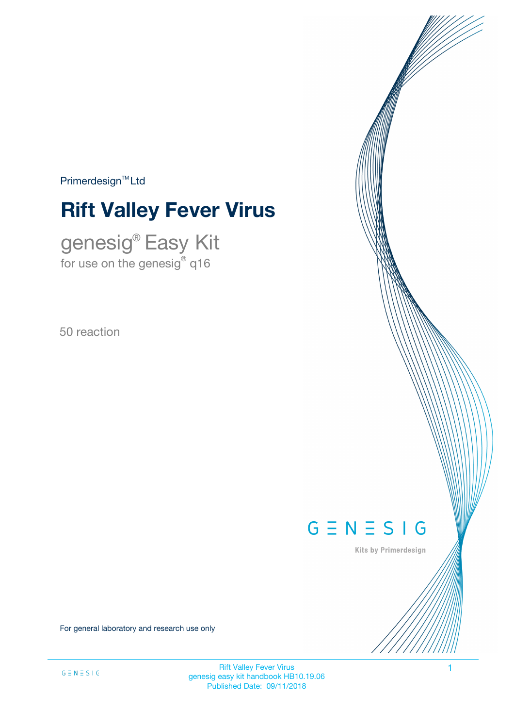$Primerdesign^{\text{TM}}Ltd$ 

# **Rift Valley Fever Virus**

genesig® Easy Kit for use on the genesig $^\circ$  q16

50 reaction

# $G \equiv N \equiv S \mid G$

Kits by Primerdesign

For general laboratory and research use only

Rift Valley Fever Virus 1 genesig easy kit handbook HB10.19.06 Published Date: 09/11/2018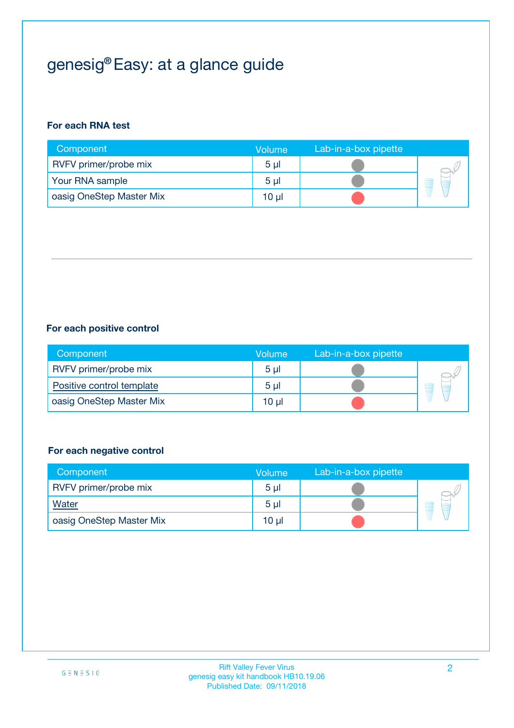# genesig® Easy: at a glance guide

#### **For each RNA test**

| Component                | <b>Volume</b>  | Lab-in-a-box pipette |  |
|--------------------------|----------------|----------------------|--|
| RVFV primer/probe mix    | 5 <sub>µ</sub> |                      |  |
| Your RNA sample          | 5 <sub>µ</sub> |                      |  |
| oasig OneStep Master Mix | 10 µl          |                      |  |

#### **For each positive control**

| Component                 | Volume         | Lab-in-a-box pipette |  |
|---------------------------|----------------|----------------------|--|
| RVFV primer/probe mix     | 5 <sub>µ</sub> |                      |  |
| Positive control template | 5 <sub>µ</sub> |                      |  |
| oasig OneStep Master Mix  | 10 µl          |                      |  |

#### **For each negative control**

| Component                | Volume         | Lab-in-a-box pipette |   |
|--------------------------|----------------|----------------------|---|
| RVFV primer/probe mix    | 5 <sub>µ</sub> |                      |   |
| Water                    | 5 <sub>µ</sub> |                      | - |
| oasig OneStep Master Mix | 10 µl          |                      |   |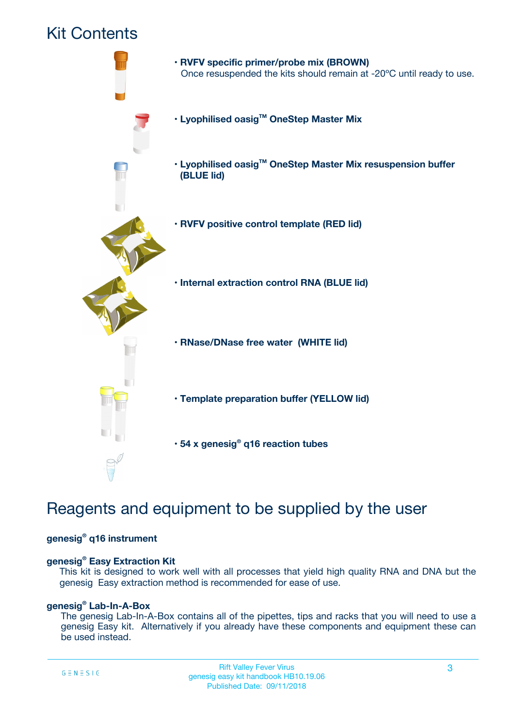## Kit Contents



## Reagents and equipment to be supplied by the user

#### **genesig® q16 instrument**

#### **genesig® Easy Extraction Kit**

This kit is designed to work well with all processes that yield high quality RNA and DNA but the genesig Easy extraction method is recommended for ease of use.

#### **genesig® Lab-In-A-Box**

The genesig Lab-In-A-Box contains all of the pipettes, tips and racks that you will need to use a genesig Easy kit. Alternatively if you already have these components and equipment these can be used instead.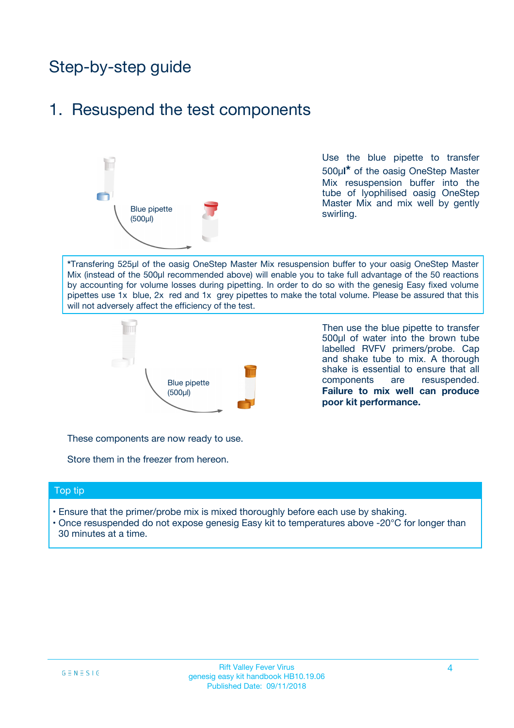## Step-by-step guide

### 1. Resuspend the test components



Use the blue pipette to transfer 500µ**l\*** of the oasig OneStep Master Mix resuspension buffer into the tube of lyophilised oasig OneStep Master Mix and mix well by gently swirling.

**\***Transfering 525µl of the oasig OneStep Master Mix resuspension buffer to your oasig OneStep Master Mix (instead of the 500µl recommended above) will enable you to take full advantage of the 50 reactions by accounting for volume losses during pipetting. In order to do so with the genesig Easy fixed volume pipettes use 1x blue, 2x red and 1x grey pipettes to make the total volume. Please be assured that this will not adversely affect the efficiency of the test.



Then use the blue pipette to transfer 500µl of water into the brown tube labelled RVFV primers/probe. Cap and shake tube to mix. A thorough shake is essential to ensure that all components are resuspended. **Failure to mix well can produce poor kit performance.**

These components are now ready to use.

Store them in the freezer from hereon.

#### Top tip

- Ensure that the primer/probe mix is mixed thoroughly before each use by shaking.
- Once resuspended do not expose genesig Easy kit to temperatures above -20°C for longer than 30 minutes at a time.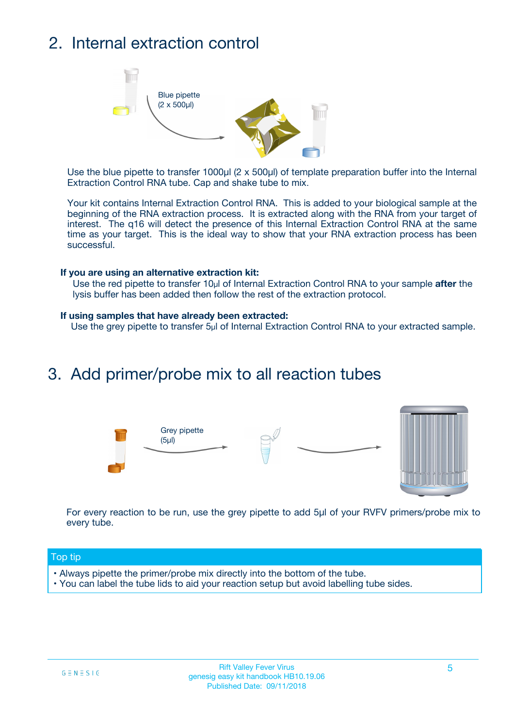## 2. Internal extraction control



Use the blue pipette to transfer 1000µl (2 x 500µl) of template preparation buffer into the Internal Extraction Control RNA tube. Cap and shake tube to mix.

Your kit contains Internal Extraction Control RNA. This is added to your biological sample at the beginning of the RNA extraction process. It is extracted along with the RNA from your target of interest. The q16 will detect the presence of this Internal Extraction Control RNA at the same time as your target. This is the ideal way to show that your RNA extraction process has been successful.

#### **If you are using an alternative extraction kit:**

Use the red pipette to transfer 10µl of Internal Extraction Control RNA to your sample **after** the lysis buffer has been added then follow the rest of the extraction protocol.

#### **If using samples that have already been extracted:**

Use the grey pipette to transfer 5µl of Internal Extraction Control RNA to your extracted sample.

### 3. Add primer/probe mix to all reaction tubes





For every reaction to be run, use the grey pipette to add 5µl of your RVFV primers/probe mix to every tube.

#### Top tip

- Always pipette the primer/probe mix directly into the bottom of the tube.
- You can label the tube lids to aid your reaction setup but avoid labelling tube sides.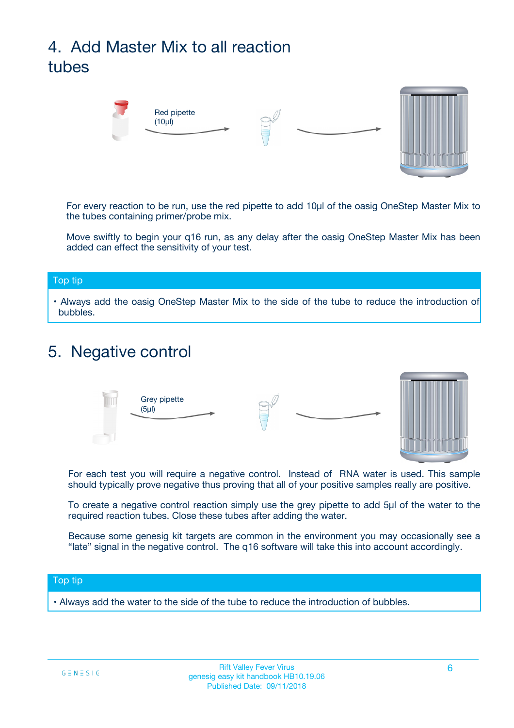# 4. Add Master Mix to all reaction tubes



For every reaction to be run, use the red pipette to add 10µl of the oasig OneStep Master Mix to the tubes containing primer/probe mix.

Move swiftly to begin your q16 run, as any delay after the oasig OneStep Master Mix has been added can effect the sensitivity of your test.

#### Top tip

**•** Always add the oasig OneStep Master Mix to the side of the tube to reduce the introduction of bubbles.

### 5. Negative control



For each test you will require a negative control. Instead of RNA water is used. This sample should typically prove negative thus proving that all of your positive samples really are positive.

To create a negative control reaction simply use the grey pipette to add 5µl of the water to the required reaction tubes. Close these tubes after adding the water.

Because some genesig kit targets are common in the environment you may occasionally see a "late" signal in the negative control. The q16 software will take this into account accordingly.

#### Top tip

**•** Always add the water to the side of the tube to reduce the introduction of bubbles.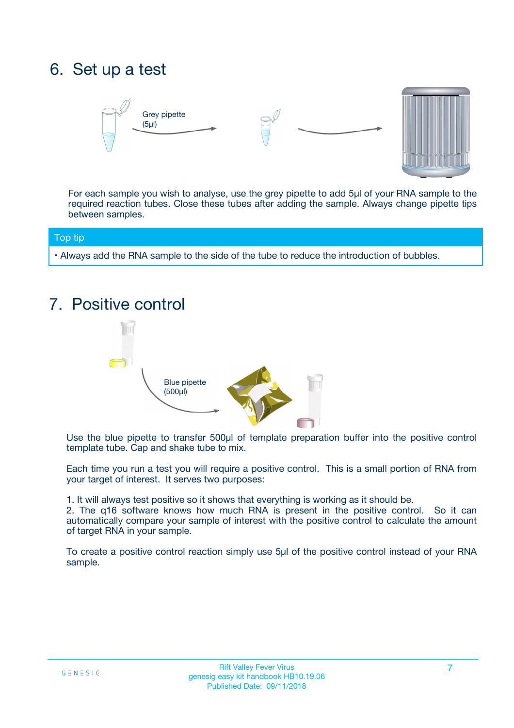## 6. Set up a test





For each sample you wish to analyse, use the grey pipette to add 5µl of your RNA sample to the required reaction tubes. Close these tubes after adding the sample. Always change pipette tips between samples.

#### Top tip

**•** Always add the RNA sample to the side of the tube to reduce the introduction of bubbles.

## 7. Positive control



Use the blue pipette to transfer 500µl of template preparation buffer into the positive control template tube. Cap and shake tube to mix.

Each time you run a test you will require a positive control. This is a small portion of RNA from your target of interest. It serves two purposes:

1. It will always test positive so it shows that everything is working as it should be.

2. The q16 software knows how much RNA is present in the positive control. So it can automatically compare your sample of interest with the positive control to calculate the amount of target RNA in your sample.

To create a positive control reaction simply use 5µl of the positive control instead of your RNA sample.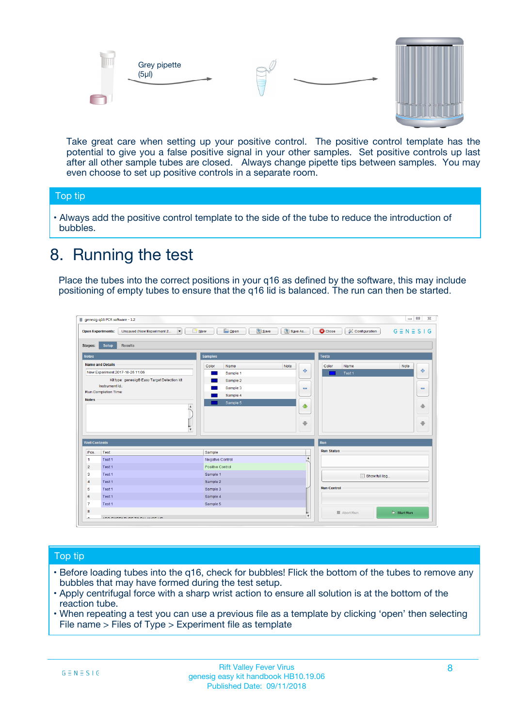



Take great care when setting up your positive control. The positive control template has the potential to give you a false positive signal in your other samples. Set positive controls up last after all other sample tubes are closed. Always change pipette tips between samples. You may even choose to set up positive controls in a separate room.

#### Top tip

**•** Always add the positive control template to the side of the tube to reduce the introduction of bubbles.

## 8. Running the test

Place the tubes into the correct positions in your q16 as defined by the software, this may include positioning of empty tubes to ensure that the q16 lid is balanced. The run can then be started.

|                      | genesig q16 PCR software - 1.2                                                    |                                            |                         |                                 | $= 0$<br>$\Sigma\!3$         |
|----------------------|-----------------------------------------------------------------------------------|--------------------------------------------|-------------------------|---------------------------------|------------------------------|
|                      | Unsaved (New Experiment 2<br>$\overline{\phantom{a}}$<br><b>Open Experiments:</b> | <b>E</b> Open<br><b>Save</b><br>$\Box$ New | Save As                 | <b>C</b> Close<br>Configuration | $G \equiv N \equiv S \mid G$ |
| <b>Stages:</b>       | Setup<br><b>Results</b>                                                           |                                            |                         |                                 |                              |
| <b>Notes</b>         |                                                                                   | <b>Samples</b>                             |                         | <b>Tests</b>                    |                              |
|                      | <b>Name and Details</b>                                                           | Color<br>Name                              | Note                    | Color<br>Name                   | Note                         |
|                      | New Experiment 2017-10-26 11:06                                                   | Sample 1                                   | 4                       | Test 1                          | 4                            |
|                      | Kit type: genesig® Easy Target Detection kit                                      | Sample 2                                   |                         |                                 |                              |
|                      | Instrument Id.:                                                                   | Sample 3                                   | $\equiv$                |                                 | $\equiv$                     |
|                      | <b>Run Completion Time:</b>                                                       | Sample 4                                   |                         |                                 |                              |
| <b>Notes</b>         | $\blacktriangle$                                                                  | Sample 5                                   | ♦                       |                                 | 傦                            |
|                      | $\overline{\mathbf{v}}$                                                           |                                            | ÷                       |                                 | ⊕                            |
| <b>Well Contents</b> |                                                                                   |                                            |                         | Run                             |                              |
| Pos.                 | Test                                                                              | Sample                                     |                         | <b>Run Status</b>               |                              |
| $\blacktriangleleft$ | Test 1                                                                            | Negative Control                           | $\blacktriangle$        |                                 |                              |
| $\overline{2}$       | Test 1                                                                            | Positive Control                           |                         |                                 |                              |
| 3                    | Test 1                                                                            | Sample 1                                   |                         | Show full log                   |                              |
| $\overline{4}$       | Test 1                                                                            | Sample 2                                   |                         |                                 |                              |
| 5                    | Test 1                                                                            | Sample 3                                   |                         | <b>Run Control</b>              |                              |
| 6                    | Test 1                                                                            | Sample 4                                   |                         |                                 |                              |
| $\overline{7}$       | Test 1                                                                            | Sample 5                                   |                         |                                 |                              |
| 8                    |                                                                                   |                                            |                         | Abort Run                       | $\triangleright$ Start Run   |
| Lo.                  | <b>INN FURTY TURE TO BUILDING UP.</b>                                             |                                            | $\overline{\mathbf{v}}$ |                                 |                              |

#### Top tip

- Before loading tubes into the q16, check for bubbles! Flick the bottom of the tubes to remove any bubbles that may have formed during the test setup.
- Apply centrifugal force with a sharp wrist action to ensure all solution is at the bottom of the reaction tube.
- When repeating a test you can use a previous file as a template by clicking 'open' then selecting File name > Files of Type > Experiment file as template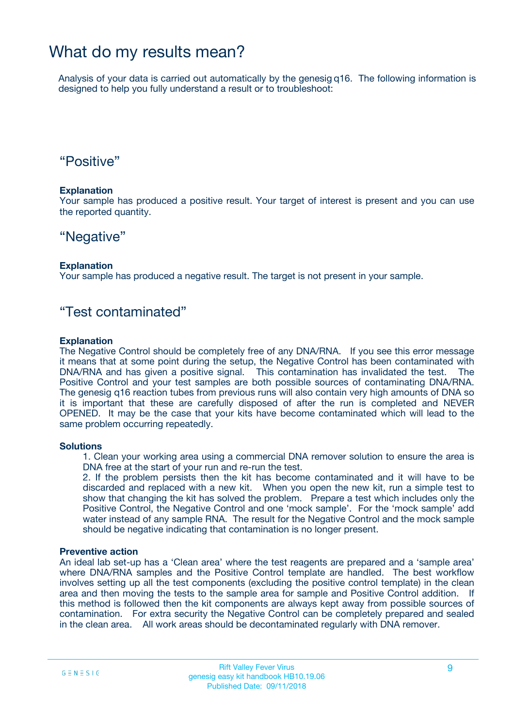### What do my results mean?

Analysis of your data is carried out automatically by the genesig q16. The following information is designed to help you fully understand a result or to troubleshoot:

### "Positive"

#### **Explanation**

Your sample has produced a positive result. Your target of interest is present and you can use the reported quantity.

### "Negative"

#### **Explanation**

Your sample has produced a negative result. The target is not present in your sample.

### "Test contaminated"

#### **Explanation**

The Negative Control should be completely free of any DNA/RNA. If you see this error message it means that at some point during the setup, the Negative Control has been contaminated with DNA/RNA and has given a positive signal. This contamination has invalidated the test. The Positive Control and your test samples are both possible sources of contaminating DNA/RNA. The genesig q16 reaction tubes from previous runs will also contain very high amounts of DNA so it is important that these are carefully disposed of after the run is completed and NEVER OPENED. It may be the case that your kits have become contaminated which will lead to the same problem occurring repeatedly.

#### **Solutions**

1. Clean your working area using a commercial DNA remover solution to ensure the area is DNA free at the start of your run and re-run the test.

2. If the problem persists then the kit has become contaminated and it will have to be discarded and replaced with a new kit. When you open the new kit, run a simple test to show that changing the kit has solved the problem. Prepare a test which includes only the Positive Control, the Negative Control and one 'mock sample'. For the 'mock sample' add water instead of any sample RNA. The result for the Negative Control and the mock sample should be negative indicating that contamination is no longer present.

#### **Preventive action**

An ideal lab set-up has a 'Clean area' where the test reagents are prepared and a 'sample area' where DNA/RNA samples and the Positive Control template are handled. The best workflow involves setting up all the test components (excluding the positive control template) in the clean area and then moving the tests to the sample area for sample and Positive Control addition. If this method is followed then the kit components are always kept away from possible sources of contamination. For extra security the Negative Control can be completely prepared and sealed in the clean area. All work areas should be decontaminated regularly with DNA remover.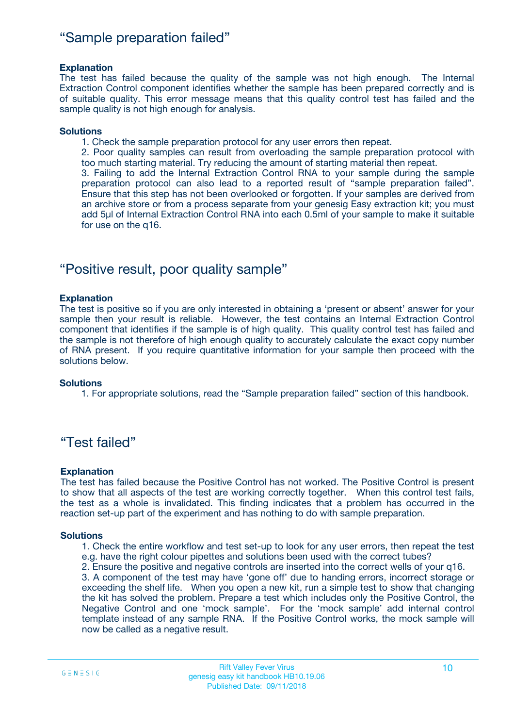### "Sample preparation failed"

#### **Explanation**

The test has failed because the quality of the sample was not high enough. The Internal Extraction Control component identifies whether the sample has been prepared correctly and is of suitable quality. This error message means that this quality control test has failed and the sample quality is not high enough for analysis.

#### **Solutions**

1. Check the sample preparation protocol for any user errors then repeat.

2. Poor quality samples can result from overloading the sample preparation protocol with too much starting material. Try reducing the amount of starting material then repeat.

3. Failing to add the Internal Extraction Control RNA to your sample during the sample preparation protocol can also lead to a reported result of "sample preparation failed". Ensure that this step has not been overlooked or forgotten. If your samples are derived from an archive store or from a process separate from your genesig Easy extraction kit; you must add 5µl of Internal Extraction Control RNA into each 0.5ml of your sample to make it suitable for use on the q16.

### "Positive result, poor quality sample"

#### **Explanation**

The test is positive so if you are only interested in obtaining a 'present or absent' answer for your sample then your result is reliable. However, the test contains an Internal Extraction Control component that identifies if the sample is of high quality. This quality control test has failed and the sample is not therefore of high enough quality to accurately calculate the exact copy number of RNA present. If you require quantitative information for your sample then proceed with the solutions below.

#### **Solutions**

1. For appropriate solutions, read the "Sample preparation failed" section of this handbook.

### "Test failed"

#### **Explanation**

The test has failed because the Positive Control has not worked. The Positive Control is present to show that all aspects of the test are working correctly together. When this control test fails, the test as a whole is invalidated. This finding indicates that a problem has occurred in the reaction set-up part of the experiment and has nothing to do with sample preparation.

#### **Solutions**

- 1. Check the entire workflow and test set-up to look for any user errors, then repeat the test e.g. have the right colour pipettes and solutions been used with the correct tubes?
- 2. Ensure the positive and negative controls are inserted into the correct wells of your q16.

3. A component of the test may have 'gone off' due to handing errors, incorrect storage or exceeding the shelf life. When you open a new kit, run a simple test to show that changing the kit has solved the problem. Prepare a test which includes only the Positive Control, the Negative Control and one 'mock sample'. For the 'mock sample' add internal control template instead of any sample RNA. If the Positive Control works, the mock sample will now be called as a negative result.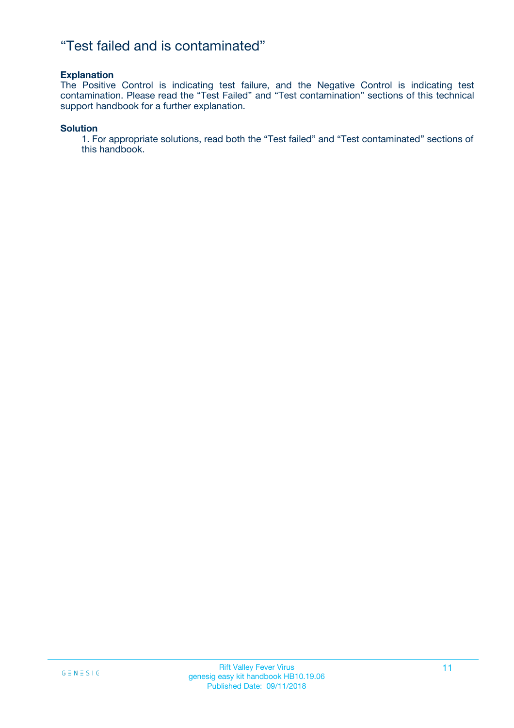### "Test failed and is contaminated"

#### **Explanation**

The Positive Control is indicating test failure, and the Negative Control is indicating test contamination. Please read the "Test Failed" and "Test contamination" sections of this technical support handbook for a further explanation.

#### **Solution**

1. For appropriate solutions, read both the "Test failed" and "Test contaminated" sections of this handbook.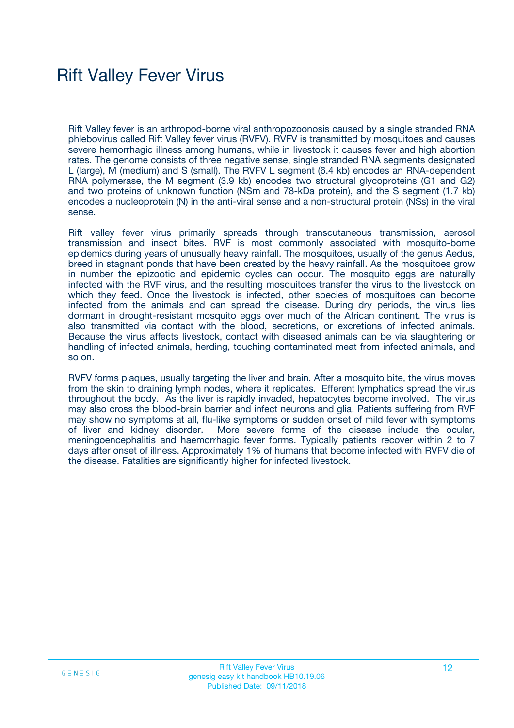## Rift Valley Fever Virus

Rift Valley fever is an arthropod-borne viral anthropozoonosis caused by a single stranded RNA phlebovirus called Rift Valley fever virus (RVFV). RVFV is transmitted by mosquitoes and causes severe hemorrhagic illness among humans, while in livestock it causes fever and high abortion rates. The genome consists of three negative sense, single stranded RNA segments designated L (large), M (medium) and S (small). The RVFV L segment (6.4 kb) encodes an RNA-dependent RNA polymerase, the M segment (3.9 kb) encodes two structural glycoproteins (G1 and G2) and two proteins of unknown function (NSm and 78-kDa protein), and the S segment (1.7 kb) encodes a nucleoprotein (N) in the anti-viral sense and a non-structural protein (NSs) in the viral sense.

Rift valley fever virus primarily spreads through transcutaneous transmission, aerosol transmission and insect bites. RVF is most commonly associated with mosquito-borne epidemics during years of unusually heavy rainfall. The mosquitoes, usually of the genus Aedus, breed in stagnant ponds that have been created by the heavy rainfall. As the mosquitoes grow in number the epizootic and epidemic cycles can occur. The mosquito eggs are naturally infected with the RVF virus, and the resulting mosquitoes transfer the virus to the livestock on which they feed. Once the livestock is infected, other species of mosquitoes can become infected from the animals and can spread the disease. During dry periods, the virus lies dormant in drought-resistant mosquito eggs over much of the African continent. The virus is also transmitted via contact with the blood, secretions, or excretions of infected animals. Because the virus affects livestock, contact with diseased animals can be via slaughtering or handling of infected animals, herding, touching contaminated meat from infected animals, and so on.

RVFV forms plaques, usually targeting the liver and brain. After a mosquito bite, the virus moves from the skin to draining lymph nodes, where it replicates. Efferent lymphatics spread the virus throughout the body. As the liver is rapidly invaded, hepatocytes become involved. The virus may also cross the blood-brain barrier and infect neurons and glia. Patients suffering from RVF may show no symptoms at all, flu-like symptoms or sudden onset of mild fever with symptoms of liver and kidney disorder. More severe forms of the disease include the ocular, meningoencephalitis and haemorrhagic fever forms. Typically patients recover within 2 to 7 days after onset of illness. Approximately 1% of humans that become infected with RVFV die of the disease. Fatalities are significantly higher for infected livestock.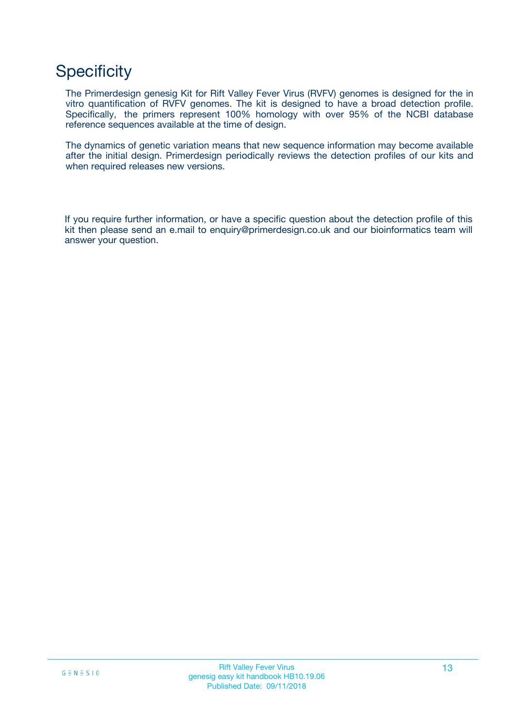## **Specificity**

The Primerdesign genesig Kit for Rift Valley Fever Virus (RVFV) genomes is designed for the in vitro quantification of RVFV genomes. The kit is designed to have a broad detection profile. Specifically, the primers represent 100% homology with over 95% of the NCBI database reference sequences available at the time of design.

The dynamics of genetic variation means that new sequence information may become available after the initial design. Primerdesign periodically reviews the detection profiles of our kits and when required releases new versions.

If you require further information, or have a specific question about the detection profile of this kit then please send an e.mail to enquiry@primerdesign.co.uk and our bioinformatics team will answer your question.